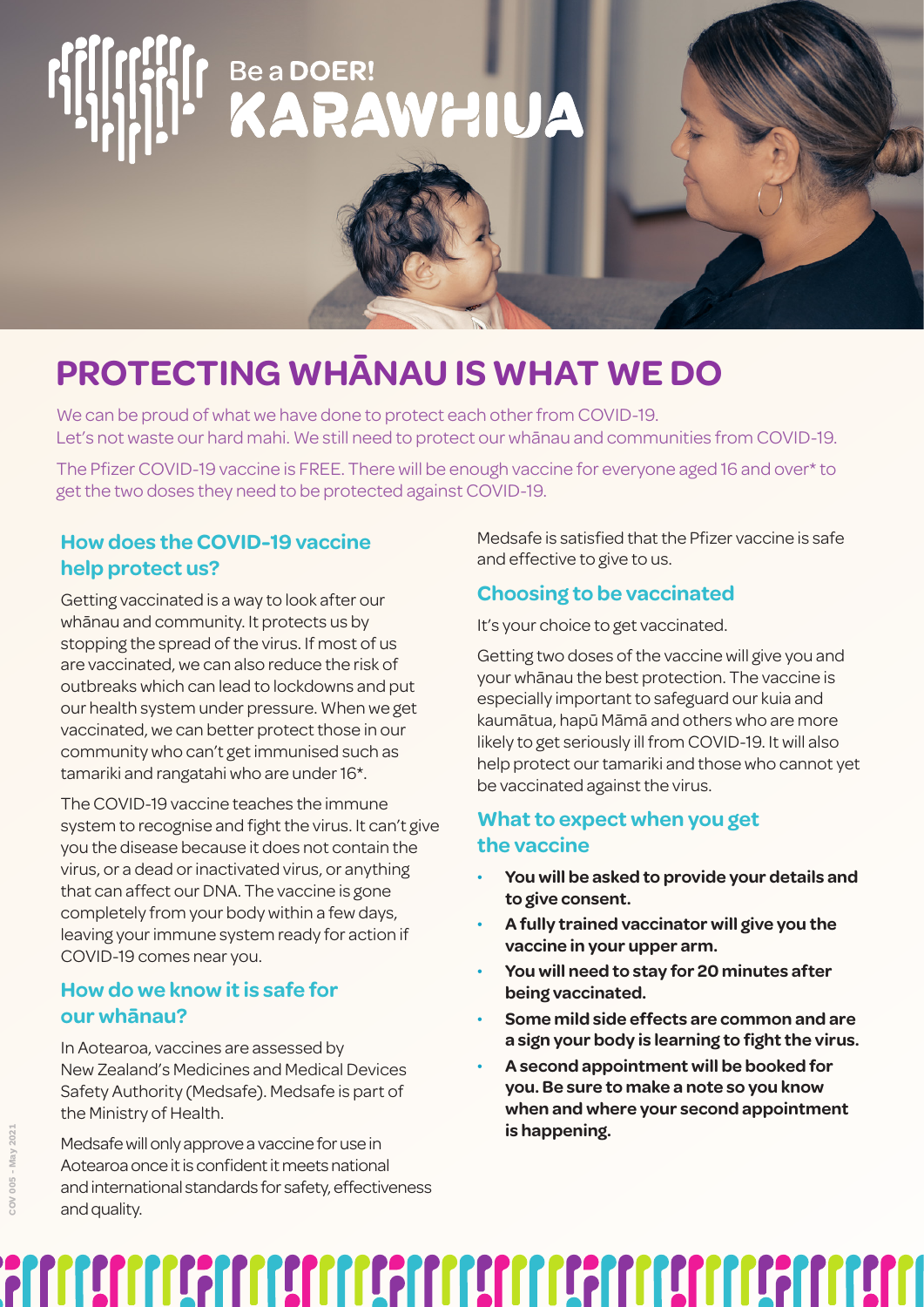# r BeaDOER!<br>KARAWHIUA

## **PROTECTING WHĀNAU IS WHAT WE DO**

We can be proud of what we have done to protect each other from COVID-19. Let's not waste our hard mahi. We still need to protect our whānau and communities from COVID-19.

The Pfizer COVID-19 vaccine is FREE. There will be enough vaccine for everyone aged 16 and over\* to get the two doses they need to be protected against COVID-19.

#### **How does the COVID-19 vaccine help protect us?**

Getting vaccinated is a way to look after our whānau and community. It protects us by stopping the spread of the virus. If most of us are vaccinated, we can also reduce the risk of outbreaks which can lead to lockdowns and put our health system under pressure. When we get vaccinated, we can better protect those in our community who can't get immunised such as tamariki and rangatahi who are under 16\*.

The COVID-19 vaccine teaches the immune system to recognise and fight the virus. It can't give you the disease because it does not contain the virus, or a dead or inactivated virus, or anything that can affect our DNA. The vaccine is gone completely from your body within a few days, leaving your immune system ready for action if COVID-19 comes near you.

#### **How do we know it is safe for our whānau?**

In Aotearoa, vaccines are assessed by New Zealand's Medicines and Medical Devices Safety Authority (Medsafe). Medsafe is part of the Ministry of Health.

Medsafe will only approve a vaccine for use in Aotearoa once it is confident it meets national and international standards for safety, effectiveness and quality.

Medsafe is satisfied that the Pfizer vaccine is safe and effective to give to us.

#### **Choosing to be vaccinated**

It's your choice to get vaccinated.

Getting two doses of the vaccine will give you and your whānau the best protection. The vaccine is especially important to safeguard our kuia and kaumātua, hapū Māmā and others who are more likely to get seriously ill from COVID-19. It will also help protect our tamariki and those who cannot yet be vaccinated against the virus.

#### **What to expect when you get the vaccine**

- **You will be asked to provide your details and to give consent.**
- **A fully trained vaccinator will give you the vaccine in your upper arm.**
- **You will need to stay for 20 minutes after being vaccinated.**
- **Some mild side effects are common and are a sign your body is learning to fight the virus.**
- **A second appointment will be booked for you. Be sure to make a note so you know when and where your second appointment is happening.**

# <u>FILITING THE TERRITORIST OF THE TERRITORIST OF THE TERRITORIST OF THE TERRITORIST OF THE TERRITORIST OF THE T</u>